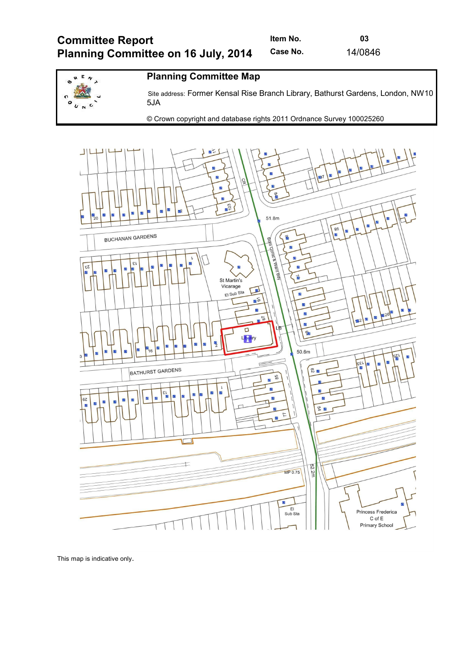# **Committee Report Item No.** 03 **Planning Committee on 16 July, 2014 Case No.** 14/0846

 $E_A$ ù

# **Planning Committee Map**

Site address: Former Kensal Rise Branch Library, Bathurst Gardens, London, NW10 5JA

© Crown copyright and database rights 2011 Ordnance Survey 100025260



This map is indicative only.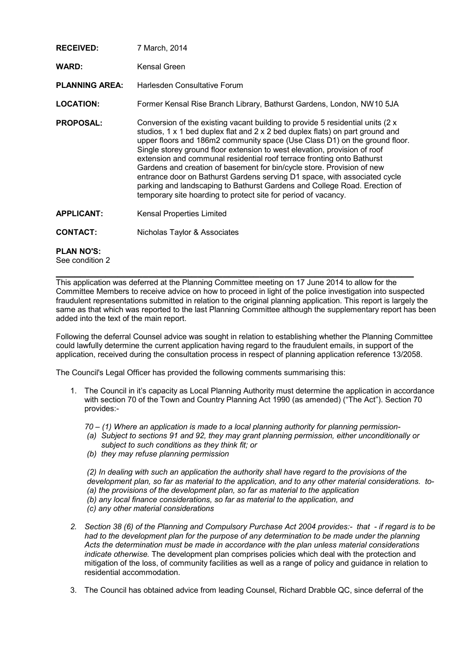| <b>RECEIVED:</b>      | 7 March, 2014                                                                                                                                                                                                                                                                                                                                                                                                                                                                                                                                                                                                                                                                                              |
|-----------------------|------------------------------------------------------------------------------------------------------------------------------------------------------------------------------------------------------------------------------------------------------------------------------------------------------------------------------------------------------------------------------------------------------------------------------------------------------------------------------------------------------------------------------------------------------------------------------------------------------------------------------------------------------------------------------------------------------------|
| <b>WARD:</b>          | Kensal Green                                                                                                                                                                                                                                                                                                                                                                                                                                                                                                                                                                                                                                                                                               |
| <b>PLANNING AREA:</b> | Harlesden Consultative Forum                                                                                                                                                                                                                                                                                                                                                                                                                                                                                                                                                                                                                                                                               |
| <b>LOCATION:</b>      | Former Kensal Rise Branch Library, Bathurst Gardens, London, NW10 5JA                                                                                                                                                                                                                                                                                                                                                                                                                                                                                                                                                                                                                                      |
| <b>PROPOSAL:</b>      | Conversion of the existing vacant building to provide 5 residential units (2 x<br>studios, 1 x 1 bed duplex flat and 2 x 2 bed duplex flats) on part ground and<br>upper floors and 186m2 community space (Use Class D1) on the ground floor.<br>Single storey ground floor extension to west elevation, provision of roof<br>extension and communal residential roof terrace fronting onto Bathurst<br>Gardens and creation of basement for bin/cycle store. Provision of new<br>entrance door on Bathurst Gardens serving D1 space, with associated cycle<br>parking and landscaping to Bathurst Gardens and College Road. Erection of<br>temporary site hoarding to protect site for period of vacancy. |
| <b>APPLICANT:</b>     | <b>Kensal Properties Limited</b>                                                                                                                                                                                                                                                                                                                                                                                                                                                                                                                                                                                                                                                                           |
| <b>CONTACT:</b>       | Nicholas Taylor & Associates                                                                                                                                                                                                                                                                                                                                                                                                                                                                                                                                                                                                                                                                               |
| <b>PLAN NO'S:</b>     |                                                                                                                                                                                                                                                                                                                                                                                                                                                                                                                                                                                                                                                                                                            |

See condition 2

**\_\_\_\_\_\_\_\_\_\_\_\_\_\_\_\_\_\_\_\_\_\_\_\_\_\_\_\_\_\_\_\_\_\_\_\_\_\_\_\_\_\_\_\_\_\_\_\_\_\_\_\_\_\_\_\_\_\_** This application was deferred at the Planning Committee meeting on 17 June 2014 to allow for the Committee Members to receive advice on how to proceed in light of the police investigation into suspected fraudulent representations submitted in relation to the original planning application. This report is largely the same as that which was reported to the last Planning Committee although the supplementary report has been added into the text of the main report.

Following the deferral Counsel advice was sought in relation to establishing whether the Planning Committee could lawfully determine the current application having regard to the fraudulent emails, in support of the application, received during the consultation process in respect of planning application reference 13/2058.

The Council's Legal Officer has provided the following comments summarising this:

1. The Council in it's capacity as Local Planning Authority must determine the application in accordance with section 70 of the Town and Country Planning Act 1990 (as amended) ("The Act"). Section 70 provides:-

*70 – (1) Where an application is made to a local planning authority for planning permission-*

- *(a) Subject to sections 91 and 92, they may grant planning permission, either unconditionally or subject to such conditions as they think fit; or*
- *(b) they may refuse planning permission*

*(2) In dealing with such an application the authority shall have regard to the provisions of the development plan, so far as material to the application, and to any other material considerations. to- (a) the provisions of the development plan, so far as material to the application (b) any local finance considerations, so far as material to the application, and (c) any other material considerations*

- *2. Section 38 (6) of the Planning and Compulsory Purchase Act 2004 provides:- that if regard is to be had to the development plan for the purpose of any determination to be made under the planning Acts the determination must be made in accordance with the plan unless material considerations indicate otherwise.* The development plan comprises policies which deal with the protection and mitigation of the loss, of community facilities as well as a range of policy and guidance in relation to residential accommodation.
- 3. The Council has obtained advice from leading Counsel, Richard Drabble QC, since deferral of the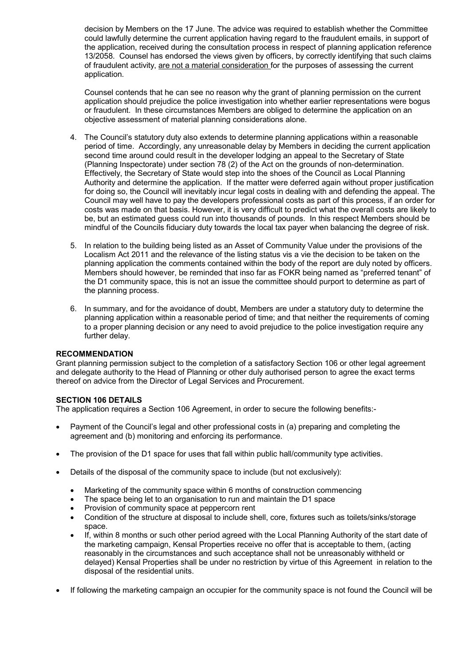decision by Members on the 17 June. The advice was required to establish whether the Committee could lawfully determine the current application having regard to the fraudulent emails, in support of the application, received during the consultation process in respect of planning application reference 13/2058. Counsel has endorsed the views given by officers, by correctly identifying that such claims of fraudulent activity, are not a material consideration for the purposes of assessing the current application.

Counsel contends that he can see no reason why the grant of planning permission on the current application should prejudice the police investigation into whether earlier representations were bogus or fraudulent. In these circumstances Members are obliged to determine the application on an objective assessment of material planning considerations alone.

- 4. The Council's statutory duty also extends to determine planning applications within a reasonable period of time. Accordingly, any unreasonable delay by Members in deciding the current application second time around could result in the developer lodging an appeal to the Secretary of State (Planning Inspectorate) under section 78 (2) of the Act on the grounds of non-determination. Effectively, the Secretary of State would step into the shoes of the Council as Local Planning Authority and determine the application. If the matter were deferred again without proper justification for doing so, the Council will inevitably incur legal costs in dealing with and defending the appeal. The Council may well have to pay the developers professional costs as part of this process, if an order for costs was made on that basis. However, it is very difficult to predict what the overall costs are likely to be, but an estimated guess could run into thousands of pounds. In this respect Members should be mindful of the Councils fiduciary duty towards the local tax payer when balancing the degree of risk.
- 5. In relation to the building being listed as an Asset of Community Value under the provisions of the Localism Act 2011 and the relevance of the listing status vis a vie the decision to be taken on the planning application the comments contained within the body of the report are duly noted by officers. Members should however, be reminded that inso far as FOKR being named as "preferred tenant" of the D1 community space, this is not an issue the committee should purport to determine as part of the planning process.
- 6. In summary, and for the avoidance of doubt, Members are under a statutory duty to determine the planning application within a reasonable period of time; and that neither the requirements of coming to a proper planning decision or any need to avoid prejudice to the police investigation require any further delay.

## **RECOMMENDATION**

Grant planning permission subject to the completion of a satisfactory Section 106 or other legal agreement and delegate authority to the Head of Planning or other duly authorised person to agree the exact terms thereof on advice from the Director of Legal Services and Procurement.

## **SECTION 106 DETAILS**

The application requires a Section 106 Agreement, in order to secure the following benefits:-

- Payment of the Council's legal and other professional costs in (a) preparing and completing the agreement and (b) monitoring and enforcing its performance.
- The provision of the D1 space for uses that fall within public hall/community type activities.
- Details of the disposal of the community space to include (but not exclusively):
	- · Marketing of the community space within 6 months of construction commencing
	- The space being let to an organisation to run and maintain the D1 space
	- Provision of community space at peppercorn rent
	- · Condition of the structure at disposal to include shell, core, fixtures such as toilets/sinks/storage space.
	- · If, within 8 months or such other period agreed with the Local Planning Authority of the start date of the marketing campaign, Kensal Properties receive no offer that is acceptable to them, (acting reasonably in the circumstances and such acceptance shall not be unreasonably withheld or delayed) Kensal Properties shall be under no restriction by virtue of this Agreement in relation to the disposal of the residential units.
- · If following the marketing campaign an occupier for the community space is not found the Council will be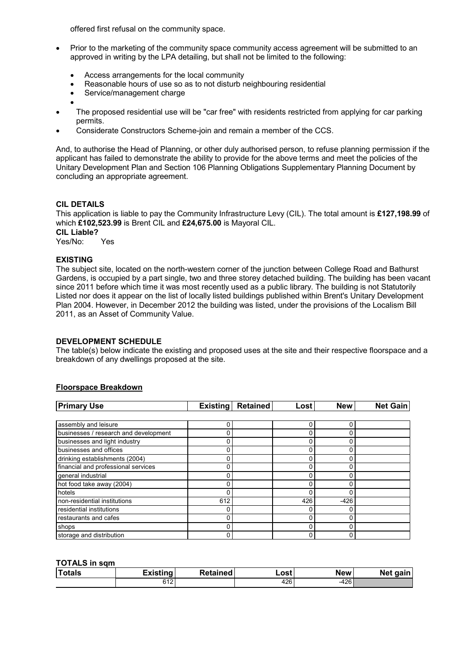offered first refusal on the community space.

- Prior to the marketing of the community space community access agreement will be submitted to an approved in writing by the LPA detailing, but shall not be limited to the following:
	- · Access arrangements for the local community
	- Reasonable hours of use so as to not disturb neighbouring residential
	- Service/management charge
- · · The proposed residential use will be "car free" with residents restricted from applying for car parking permits.
- · Considerate Constructors Scheme-join and remain a member of the CCS.

And, to authorise the Head of Planning, or other duly authorised person, to refuse planning permission if the applicant has failed to demonstrate the ability to provide for the above terms and meet the policies of the Unitary Development Plan and Section 106 Planning Obligations Supplementary Planning Document by concluding an appropriate agreement.

## **CIL DETAILS**

This application is liable to pay the Community Infrastructure Levy (CIL). The total amount is **£127,198.99** of which **£102,523.99** is Brent CIL and **£24,675.00** is Mayoral CIL. **CIL Liable?**

Yes/No: Yes

## **EXISTING**

The subject site, located on the north-western corner of the junction between College Road and Bathurst Gardens, is occupied by a part single, two and three storey detached building. The building has been vacant since 2011 before which time it was most recently used as a public library. The building is not Statutorily Listed nor does it appear on the list of locally listed buildings published within Brent's Unitary Development Plan 2004. However, in December 2012 the building was listed, under the provisions of the Localism Bill 2011, as an Asset of Community Value.

## **DEVELOPMENT SCHEDULE**

The table(s) below indicate the existing and proposed uses at the site and their respective floorspace and a breakdown of any dwellings proposed at the site.

## **Floorspace Breakdown**

| <b>Primary Use</b>                    | <b>Existing</b> | <b>Retained</b> | Lost | <b>New</b> | <b>Net Gain</b> |
|---------------------------------------|-----------------|-----------------|------|------------|-----------------|
|                                       |                 |                 |      |            |                 |
| assembly and leisure                  | 0               |                 | n    | 0          |                 |
| businesses / research and development | 0               |                 |      | 0          |                 |
| businesses and light industry         | 0               |                 | n    | ი          |                 |
| businesses and offices                | $\Omega$        |                 |      | ი          |                 |
| drinking establishments (2004)        | 0               |                 |      | 0          |                 |
| financial and professional services   | $\mathbf 0$     |                 | 0    | 0          |                 |
| general industrial                    | O               |                 |      |            |                 |
| hot food take away (2004)             | 0               |                 |      | 0          |                 |
| hotels                                | 0               |                 |      | 0          |                 |
| non-residential institutions          | 612             |                 | 426  | $-426$     |                 |
| residential institutions              | 0               |                 |      |            |                 |
| restaurants and cafes                 | 0               |                 |      | 0          |                 |
| shops                                 | $\mathbf 0$     |                 | n    | 0          |                 |
| storage and distribution              | $\Omega$        |                 |      | 0          |                 |

#### **TOTALS in sqm**

| <b>Totals</b> | <b>Existing</b> | <b>Retained</b> | Lost | Newl | Net gain |
|---------------|-----------------|-----------------|------|------|----------|
|               | 612             |                 | 426  | -426 |          |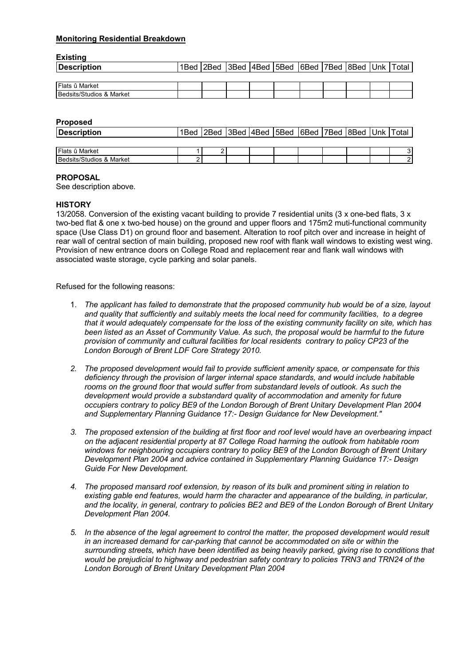## **Monitoring Residential Breakdown**

| <b>Existing</b>          |  |  |                                                   |  |  |  |
|--------------------------|--|--|---------------------------------------------------|--|--|--|
| <b>Description</b>       |  |  | 1Bed 2Bed 3Bed 4Bed 5Bed 6Bed 7Bed 8Bed Unk Total |  |  |  |
|                          |  |  |                                                   |  |  |  |
| Flats û Market           |  |  |                                                   |  |  |  |
| Bedsits/Studios & Market |  |  |                                                   |  |  |  |

## **Proposed**

| <b>IDescription</b>      | 1Bed |  | 2Bed   3Bed   4Bed   5Bed   6Bed   7Bed   8Bed   Unk |  |  | Totai  |
|--------------------------|------|--|------------------------------------------------------|--|--|--------|
|                          |      |  |                                                      |  |  |        |
| Flats û Market           |      |  |                                                      |  |  | ີ      |
| Bedsits/Studios & Market |      |  |                                                      |  |  | $\sim$ |

#### **PROPOSAL**

See description above.

#### **HISTORY**

13/2058. Conversion of the existing vacant building to provide 7 residential units (3 x one-bed flats, 3 x two-bed flat & one x two-bed house) on the ground and upper floors and 175m2 muti-functional community space (Use Class D1) on ground floor and basement. Alteration to roof pitch over and increase in height of rear wall of central section of main building, proposed new roof with flank wall windows to existing west wing. Provision of new entrance doors on College Road and replacement rear and flank wall windows with associated waste storage, cycle parking and solar panels.

Refused for the following reasons:

- 1. *The applicant has failed to demonstrate that the proposed community hub would be of a size, layout and quality that sufficiently and suitably meets the local need for community facilities, to a degree that it would adequately compensate for the loss of the existing community facility on site, which has been listed as an Asset of Community Value. As such, the proposal would be harmful to the future provision of community and cultural facilities for local residents contrary to policy CP23 of the London Borough of Brent LDF Core Strategy 2010.*
- *2. The proposed development would fail to provide sufficient amenity space, or compensate for this deficiency through the provision of larger internal space standards, and would include habitable rooms on the ground floor that would suffer from substandard levels of outlook. As such the development would provide a substandard quality of accommodation and amenity for future occupiers contrary to policy BE9 of the London Borough of Brent Unitary Development Plan 2004 and Supplementary Planning Guidance 17:- Design Guidance for New Development."*
- *3. The proposed extension of the building at first floor and roof level would have an overbearing impact on the adjacent residential property at 87 College Road harming the outlook from habitable room windows for neighbouring occupiers contrary to policy BE9 of the London Borough of Brent Unitary Development Plan 2004 and advice contained in Supplementary Planning Guidance 17:- Design Guide For New Development.*
- *4. The proposed mansard roof extension, by reason of its bulk and prominent siting in relation to existing gable end features, would harm the character and appearance of the building, in particular, and the locality, in general, contrary to policies BE2 and BE9 of the London Borough of Brent Unitary Development Plan 2004.*
- *5. In the absence of the legal agreement to control the matter, the proposed development would result in an increased demand for car-parking that cannot be accommodated on site or within the surrounding streets, which have been identified as being heavily parked, giving rise to conditions that would be prejudicial to highway and pedestrian safety contrary to policies TRN3 and TRN24 of the London Borough of Brent Unitary Development Plan 2004*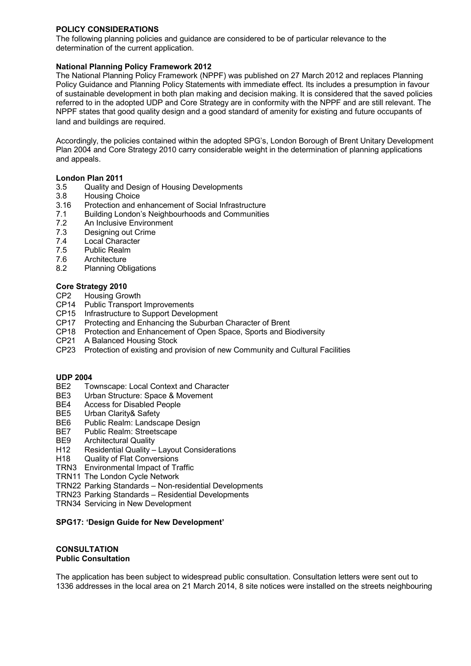# **POLICY CONSIDERATIONS**

The following planning policies and guidance are considered to be of particular relevance to the determination of the current application.

## **National Planning Policy Framework 2012**

The National Planning Policy Framework (NPPF) was published on 27 March 2012 and replaces Planning Policy Guidance and Planning Policy Statements with immediate effect. Its includes a presumption in favour of sustainable development in both plan making and decision making. It is considered that the saved policies referred to in the adopted UDP and Core Strategy are in conformity with the NPPF and are still relevant. The NPPF states that good quality design and a good standard of amenity for existing and future occupants of land and buildings are required.

Accordingly, the policies contained within the adopted SPG's, London Borough of Brent Unitary Development Plan 2004 and Core Strategy 2010 carry considerable weight in the determination of planning applications and appeals.

## **London Plan 2011**

- 3.5 Quality and Design of Housing Developments
- 3.8 Housing Choice
- 3.16 Protection and enhancement of Social Infrastructure
- 7.1 Building London's Neighbourhoods and Communities
- 7.2 An Inclusive Environment
- 7.3 Designing out Crime
- 7.4 Local Character
- 7.5 Public Realm
- 7.6 Architecture
- 8.2 Planning Obligations

## **Core Strategy 2010**

- CP2 Housing Growth
- CP14 Public Transport Improvements
- CP15 Infrastructure to Support Development
- CP17 Protecting and Enhancing the Suburban Character of Brent
- CP18 Protection and Enhancement of Open Space, Sports and Biodiversity
- CP21 A Balanced Housing Stock
- CP23 Protection of existing and provision of new Community and Cultural Facilities

#### **UDP 2004**

- BE2 Townscape: Local Context and Character<br>BE3 Urban Structure: Space & Movement
- Urban Structure: Space & Movement
- BE4 Access for Disabled People
- BE5 Urban Clarity& Safety
- BE6 Public Realm: Landscape Design
- BE7 Public Realm: Streetscape
- BE9 Architectural Quality
- H12 Residential Quality Layout Considerations
- H18 Quality of Flat Conversions
- TRN3 Environmental Impact of Traffic
- TRN11 The London Cycle Network
- TRN22 Parking Standards Non-residential Developments
- TRN23 Parking Standards Residential Developments
- TRN34 Servicing in New Development

#### **SPG17: 'Design Guide for New Development'**

#### **CONSULTATION Public Consultation**

The application has been subject to widespread public consultation. Consultation letters were sent out to 1336 addresses in the local area on 21 March 2014, 8 site notices were installed on the streets neighbouring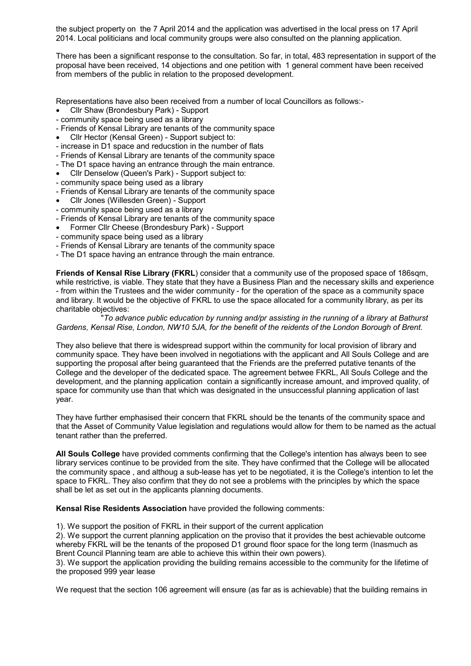the subject property on the 7 April 2014 and the application was advertised in the local press on 17 April 2014. Local politicians and local community groups were also consulted on the planning application.

There has been a significant response to the consultation. So far, in total, 483 representation in support of the proposal have been received, 14 objections and one petition with 1 general comment have been received from members of the public in relation to the proposed development.

Representations have also been received from a number of local Councillors as follows:-

- · Cllr Shaw (Brondesbury Park) Support
- community space being used as a library
- Friends of Kensal Library are tenants of the community space
- Cllr Hector (Kensal Green) Support subject to:
- increase in D1 space and reducstion in the number of flats
- Friends of Kensal Library are tenants of the community space
- The D1 space having an entrance through the main entrance.
- Cllr Denselow (Queen's Park) Support subject to:
- community space being used as a library
- Friends of Kensal Library are tenants of the community space
- · Cllr Jones (Willesden Green) Support
- community space being used as a library
- Friends of Kensal Library are tenants of the community space
- Former Cllr Cheese (Brondesbury Park) Support
- community space being used as a library
- Friends of Kensal Library are tenants of the community space
- The D1 space having an entrance through the main entrance.

**Friends of Kensal Rise Library (FKRL**) consider that a community use of the proposed space of 186sqm, while restrictive, is viable. They state that they have a Business Plan and the necessary skills and experience - from within the Trustees and the wider community - for the operation of the space as a community space and library. It would be the objective of FKRL to use the space allocated for a community library, as per its charitable objectives:

 "*To advance public education by running and/pr assisting in the running of a library at Bathurst Gardens, Kensal Rise, London, NW10 5JA, for the benefit of the reidents of the London Borough of Brent.*

They also believe that there is widespread support within the community for local provision of library and community space. They have been involved in negotiations with the applicant and All Souls College and are supporting the proposal after being guaranteed that the Friends are the preferred putative tenants of the College and the developer of the dedicated space. The agreement betwee FKRL, All Souls College and the development, and the planning application contain a significantly increase amount, and improved quality, of space for community use than that which was designated in the unsuccessful planning application of last year.

They have further emphasised their concern that FKRL should be the tenants of the community space and that the Asset of Community Value legislation and regulations would allow for them to be named as the actual tenant rather than the preferred.

**All Souls College** have provided comments confirming that the College's intention has always been to see library services continue to be provided from the site. They have confirmed that the College will be allocated the community space , and althoug a sub-lease has yet to be negotiated, it is the College's intention to let the space to FKRL. They also confirm that they do not see a problems with the principles by which the space shall be let as set out in the applicants planning documents.

**Kensal Rise Residents Association** have provided the following comments:

1). We support the position of FKRL in their support of the current application

2). We support the current planning application on the proviso that it provides the best achievable outcome whereby FKRL will be the tenants of the proposed D1 ground floor space for the long term (Inasmuch as Brent Council Planning team are able to achieve this within their own powers).

3). We support the application providing the building remains accessible to the community for the lifetime of the proposed 999 year lease

We request that the section 106 agreement will ensure (as far as is achievable) that the building remains in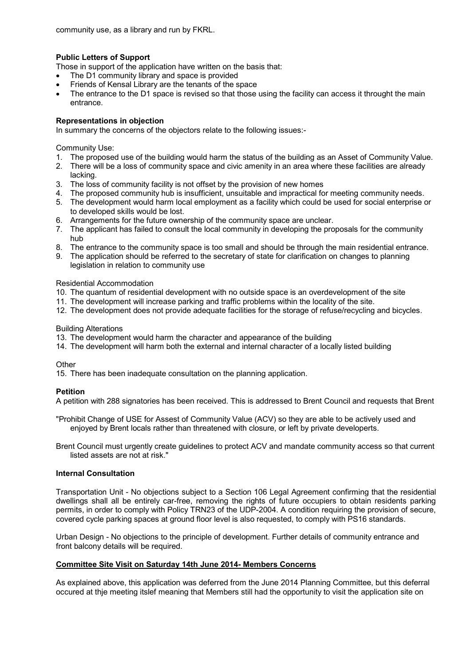## **Public Letters of Support**

Those in support of the application have written on the basis that:

- The D1 community library and space is provided
- Friends of Kensal Library are the tenants of the space
- The entrance to the D1 space is revised so that those using the facility can access it throught the main entrance.

## **Representations in objection**

In summary the concerns of the objectors relate to the following issues:-

Community Use:

- 1. The proposed use of the building would harm the status of the building as an Asset of Community Value.
- 2. There will be a loss of community space and civic amenity in an area where these facilities are already lacking.
- 3. The loss of community facility is not offset by the provision of new homes
- 4. The proposed community hub is insufficient, unsuitable and impractical for meeting community needs.
- 5. The development would harm local employment as a facility which could be used for social enterprise or to developed skills would be lost.
- 6. Arrangements for the future ownership of the community space are unclear.
- 7. The applicant has failed to consult the local community in developing the proposals for the community hub
- 8. The entrance to the community space is too small and should be through the main residential entrance.
- 9. The application should be referred to the secretary of state for clarification on changes to planning legislation in relation to community use

## Residential Accommodation

- 10. The quantum of residential development with no outside space is an overdevelopment of the site
- 11. The development will increase parking and traffic problems within the locality of the site.
- 12. The development does not provide adequate facilities for the storage of refuse/recycling and bicycles.

## Building Alterations

- 13. The development would harm the character and appearance of the building
- 14. The development will harm both the external and internal character of a locally listed building

#### **Other**

15. There has been inadequate consultation on the planning application.

## **Petition**

A petition with 288 signatories has been received. This is addressed to Brent Council and requests that Brent

"Prohibit Change of USE for Assest of Community Value (ACV) so they are able to be actively used and enjoyed by Brent locals rather than threatened with closure, or left by private developerts.

Brent Council must urgently create guidelines to protect ACV and mandate community access so that current listed assets are not at risk."

## **Internal Consultation**

Transportation Unit - No objections subject to a Section 106 Legal Agreement confirming that the residential dwellings shall all be entirely car-free, removing the rights of future occupiers to obtain residents parking permits, in order to comply with Policy TRN23 of the UDP-2004. A condition requiring the provision of secure, covered cycle parking spaces at ground floor level is also requested, to comply with PS16 standards.

Urban Design - No objections to the principle of development. Further details of community entrance and front balcony details will be required.

## **Committee Site Visit on Saturday 14th June 2014- Members Concerns**

As explained above, this application was deferred from the June 2014 Planning Committee, but this deferral occured at thje meeting itslef meaning that Members still had the opportunity to visit the application site on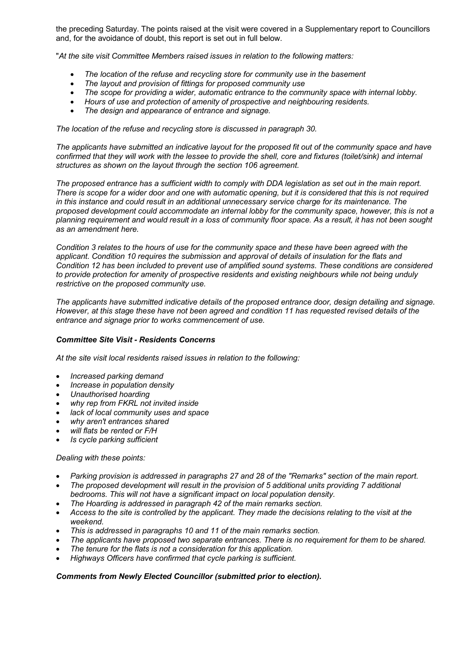the preceding Saturday. The points raised at the visit were covered in a Supplementary report to Councillors and, for the avoidance of doubt, this report is set out in full below.

"*At the site visit Committee Members raised issues in relation to the following matters:*

- The location of the refuse and recycling store for community use in the basement
- · *The layout and provision of fittings for proposed community use*
- · *The scope for providing a wider, automatic entrance to the community space with internal lobby.*
- · *Hours of use and protection of amenity of prospective and neighbouring residents.*
- · *The design and appearance of entrance and signage.*

*The location of the refuse and recycling store is discussed in paragraph 30.*

*The applicants have submitted an indicative layout for the proposed fit out of the community space and have confirmed that they will work with the lessee to provide the shell, core and fixtures (toilet/sink) and internal structures as shown on the layout through the section 106 agreement.*

*The proposed entrance has a sufficient width to comply with DDA legislation as set out in the main report. There is scope for a wider door and one with automatic opening, but it is considered that this is not required in this instance and could result in an additional unnecessary service charge for its maintenance. The proposed development could accommodate an internal lobby for the community space, however, this is not a planning requirement and would result in a loss of community floor space. As a result, it has not been sought as an amendment here.*

*Condition 3 relates to the hours of use for the community space and these have been agreed with the applicant. Condition 10 requires the submission and approval of details of insulation for the flats and Condition 12 has been included to prevent use of amplified sound systems. These conditions are considered to provide protection for amenity of prospective residents and existing neighbours while not being unduly restrictive on the proposed community use.*

*The applicants have submitted indicative details of the proposed entrance door, design detailing and signage. However, at this stage these have not been agreed and condition 11 has requested revised details of the entrance and signage prior to works commencement of use.*

#### *Committee Site Visit - Residents Concerns*

*At the site visit local residents raised issues in relation to the following:*

- · *Increased parking demand*
- · *Increase in population density*
- · *Unauthorised hoarding*
- · *why rep from FKRL not invited inside*
- · *lack of local community uses and space*
- · *why aren't entrances shared*
- · *will flats be rented or F/H*
- · *Is cycle parking sufficient*

*Dealing with these points:*

- · *Parking provision is addressed in paragraphs 27 and 28 of the "Remarks" section of the main report.*
- · *The proposed development will result in the provision of 5 additional units providing 7 additional bedrooms. This will not have a significant impact on local population density.*
- The Hoarding is addressed in paragraph 42 of the main remarks section.
- · *Access to the site is controlled by the applicant. They made the decisions relating to the visit at the weekend.*
- · *This is addressed in paragraphs 10 and 11 of the main remarks section.*
- · *The applicants have proposed two separate entrances. There is no requirement for them to be shared.*
- · *The tenure for the flats is not a consideration for this application.*
- · *Highways Officers have confirmed that cycle parking is sufficient.*

#### *Comments from Newly Elected Councillor (submitted prior to election).*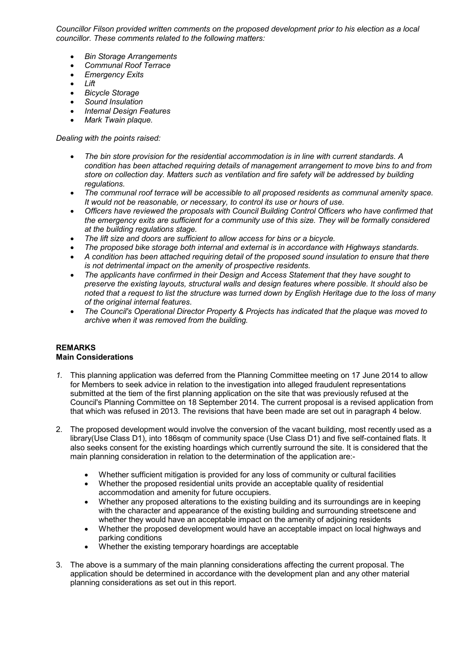*Councillor Filson provided written comments on the proposed development prior to his election as a local councillor. These comments related to the following matters:*

- · *Bin Storage Arrangements*
- · *Communal Roof Terrace*
- · *Emergency Exits*
- · *Lift*
- · *Bicycle Storage*
- · *Sound Insulation*
- · *Internal Design Features*
- · *Mark Twain plaque.*

*Dealing with the points raised:*

- · *The bin store provision for the residential accommodation is in line with current standards. A condition has been attached requiring details of management arrangement to move bins to and from store on collection day. Matters such as ventilation and fire safety will be addressed by building regulations.*
- · *The communal roof terrace will be accessible to all proposed residents as communal amenity space. It would not be reasonable, or necessary, to control its use or hours of use.*
- · *Officers have reviewed the proposals with Council Building Control Officers who have confirmed that the emergency exits are sufficient for a community use of this size. They will be formally considered at the building regulations stage.*
- · *The lift size and doors are sufficient to allow access for bins or a bicycle.*
- · *The proposed bike storage both internal and external is in accordance with Highways standards.*
- · *A condition has been attached requiring detail of the proposed sound insulation to ensure that there is not detrimental impact on the amenity of prospective residents.*
- · *The applicants have confirmed in their Design and Access Statement that they have sought to preserve the existing layouts, structural walls and design features where possible. It should also be noted that a request to list the structure was turned down by English Heritage due to the loss of many of the original internal features.*
- · *The Council's Operational Director Property & Projects has indicated that the plaque was moved to archive when it was removed from the building.*

#### **REMARKS Main Considerations**

- *1.* This planning application was deferred from the Planning Committee meeting on 17 June 2014 to allow for Members to seek advice in relation to the investigation into alleged fraudulent representations submitted at the tiem of the first planning application on the site that was previously refused at the Council's Planning Committee on 18 September 2014. The current proposal is a revised application from that which was refused in 2013. The revisions that have been made are set out in paragraph 4 below.
- 2. The proposed development would involve the conversion of the vacant building, most recently used as a library(Use Class D1), into 186sqm of community space (Use Class D1) and five self-contained flats. It also seeks consent for the existing hoardings which currently surround the site. It is considered that the main planning consideration in relation to the determination of the application are:-
	- · Whether sufficient mitigation is provided for any loss of community or cultural facilities
	- · Whether the proposed residential units provide an acceptable quality of residential accommodation and amenity for future occupiers.
	- · Whether any proposed alterations to the existing building and its surroundings are in keeping with the character and appearance of the existing building and surrounding streetscene and whether they would have an acceptable impact on the amenity of adjoining residents
	- · Whether the proposed development would have an acceptable impact on local highways and parking conditions
	- Whether the existing temporary hoardings are acceptable
- 3. The above is a summary of the main planning considerations affecting the current proposal. The application should be determined in accordance with the development plan and any other material planning considerations as set out in this report.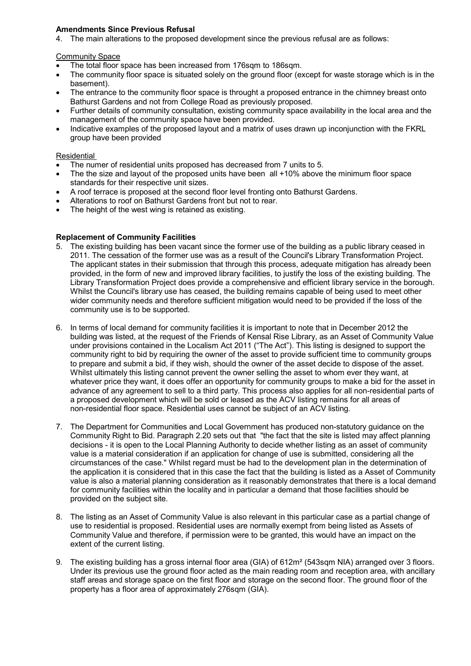## **Amendments Since Previous Refusal**

4. The main alterations to the proposed development since the previous refusal are as follows:

## **Community Space**

- The total floor space has been increased from 176sqm to 186sqm.
- The community floor space is situated solely on the ground floor (except for waste storage which is in the basement).
- The entrance to the community floor space is throught a proposed entrance in the chimney breast onto Bathurst Gardens and not from College Road as previously proposed.
- · Further details of community consultation, existing community space availability in the local area and the management of the community space have been provided.
- Indicative examples of the proposed layout and a matrix of uses drawn up inconjunction with the FKRL group have been provided

## **Residential**

- The numer of residential units proposed has decreased from 7 units to 5.
- The the size and layout of the proposed units have been all +10% above the minimum floor space standards for their respective unit sizes.
- A roof terrace is proposed at the second floor level fronting onto Bathurst Gardens.
- Alterations to roof on Bathurst Gardens front but not to rear.
- The height of the west wing is retained as existing.

## **Replacement of Community Facilities**

- 5. The existing building has been vacant since the former use of the building as a public library ceased in 2011. The cessation of the former use was as a result of the Council's Library Transformation Project. The applicant states in their submission that through this process, adequate mitigation has already been provided, in the form of new and improved library facilities, to justify the loss of the existing building. The Library Transformation Project does provide a comprehensive and efficient library service in the borough. Whilst the Council's library use has ceased, the building remains capable of being used to meet other wider community needs and therefore sufficient mitigation would need to be provided if the loss of the community use is to be supported.
- 6. In terms of local demand for community facilities it is important to note that in December 2012 the building was listed, at the request of the Friends of Kensal Rise Library, as an Asset of Community Value under provisions contained in the Localism Act 2011 ("The Act"). This listing is designed to support the community right to bid by requiring the owner of the asset to provide sufficient time to community groups to prepare and submit a bid, if they wish, should the owner of the asset decide to dispose of the asset. Whilst ultimately this listing cannot prevent the owner selling the asset to whom ever they want, at whatever price they want, it does offer an opportunity for community groups to make a bid for the asset in advance of any agreement to sell to a third party. This process also applies for all non-residential parts of a proposed development which will be sold or leased as the ACV listing remains for all areas of non-residential floor space. Residential uses cannot be subject of an ACV listing.
- 7. The Department for Communities and Local Government has produced non-statutory guidance on the Community Right to Bid. Paragraph 2.20 sets out that "the fact that the site is listed may affect planning decisions - it is open to the Local Planning Authority to decide whether listing as an asset of community value is a material consideration if an application for change of use is submitted, considering all the circumstances of the case." Whilst regard must be had to the development plan in the determination of the application it is considered that in this case the fact that the building is listed as a Asset of Community value is also a material planning consideration as it reasonably demonstrates that there is a local demand for community facilities within the locality and in particular a demand that those facilities should be provided on the subject site.
- 8. The listing as an Asset of Community Value is also relevant in this particular case as a partial change of use to residential is proposed. Residential uses are normally exempt from being listed as Assets of Community Value and therefore, if permission were to be granted, this would have an impact on the extent of the current listing.
- 9. The existing building has a gross internal floor area (GIA) of 612m<sup>2</sup> (543sqm NIA) arranged over 3 floors. Under its previous use the ground floor acted as the main reading room and reception area, with ancillary staff areas and storage space on the first floor and storage on the second floor. The ground floor of the property has a floor area of approximately 276sqm (GIA).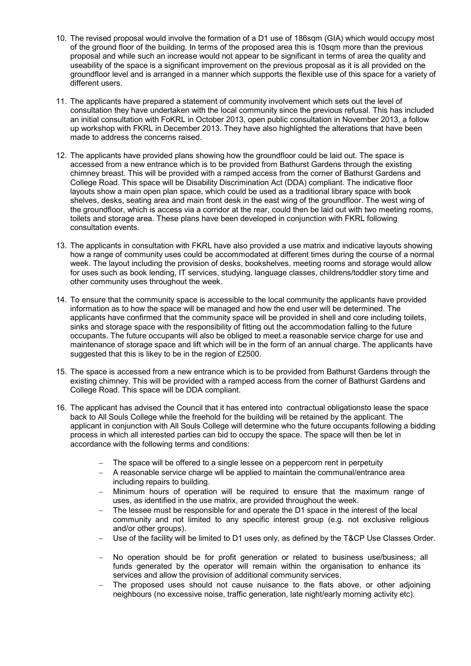- 10. The revised proposal would involve the formation of a D1 use of 186sqm (GIA) which would occupy most of the ground floor of the building. In terms of the proposed area this is 10sqm more than the previous proposal and while such an increase would not appear to be significant in terms of area the quality and useability of the space is a significant improvement on the previous proposal as it is all provided on the groundfloor level and is arranged in a manner which supports the flexible use of this space for a variety of different users.
- 11. The applicants have prepared a statement of community involvement which sets out the level of consultation they have undertaken with the local community since the previous refusal. This has included an initial consultation with FoKRL in October 2013, open public consultation in November 2013, a follow up workshop with FKRL in December 2013. They have also highlighted the alterations that have been made to address the concerns raised.
- 12. The applicants have provided plans showing how the groundfloor could be laid out. The space is accessed from a new entrance which is to be provided from Bathurst Gardens through the existing chimney breast. This will be provided with a ramped access from the corner of Bathurst Gardens and College Road. This space will be Disability Discrimination Act (DDA) compliant. The indicative floor layouts show a main open plan space, which could be used as a traditional library space with book shelves, desks, seating area and main front desk in the east wing of the groundfloor. The west wing of the groundfloor, which is access via a corridor at the rear, could then be laid out with two meeting rooms, toilets and storage area. These plans have been developed in conjunction with FKRL following consultation events.
- 13. The applicants in consultation with FKRL have also provided a use matrix and indicative layouts showing how a range of community uses could be accommodated at different times during the course of a normal week. The layout including the provision of desks, bookshelves, meeting rooms and storage would allow for uses such as book lending, IT services, studying, language classes, childrens/toddler story time and other community uses throughout the week.
- 14. To ensure that the community space is accessible to the local community the applicants have provided information as to how the space will be managed and how the end user will be determined. The applicants have confirmed that the community space will be provided in shell and core including toilets, sinks and storage space with the responsibility of fitting out the accommodation falling to the future occupants. The future occupants will also be obliged to meet a reasonable service charge for use and maintenance of storage space and lift which will be in the form of an annual charge. The applicants have suggested that this is likey to be in the region of £2500.
- 15. The space is accessed from a new entrance which is to be provided from Bathurst Gardens through the existing chimney. This will be provided with a ramped access from the corner of Bathurst Gardens and College Road. This space will be DDA compliant.
- 16. The applicant has advised the Council that it has entered into contractual obligationsto lease the space back to All Souls College while the freehold for the building will be retained by the applicant. The applicant in conjunction with All Souls College will determine who the future occupants following a bidding process in which all interested parties can bid to occupy the space. The space will then be let in accordance with the following terms and conditions:
	- The space will be offered to a single lessee on a peppercorn rent in perpetuity
	- A reasonable service charge wll be applied to maintain the communal/entrance area including repairs to building.
	- Minimum hours of operation will be required to ensure that the maximum range of uses, as identified in the use matrix, are provided throughout the week.
	- The lessee must be responsible for and operate the D1 space in the interest of the local community and not limited to any specific interest group (e.g. not exclusive religious and/or other groups).
	- Use of the facility will be limited to D1 uses only, as defined by the T&CP Use Classes Order.
	- No operation should be for profit generation or related to business use/business; all funds generated by the operator will remain within the organisation to enhance its services and allow the provision of additional community services.
	- The proposed uses should not cause nuisance to the flats above, or other adjoining neighbours (no excessive noise, traffic generation, late night/early morning activity etc).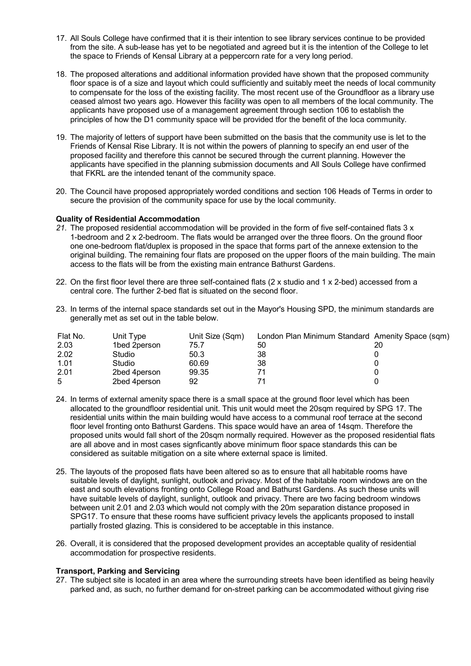- 17. All Souls College have confirmed that it is their intention to see library services continue to be provided from the site. A sub-lease has yet to be negotiated and agreed but it is the intention of the College to let the space to Friends of Kensal Library at a peppercorn rate for a very long period.
- 18. The proposed alterations and additional information provided have shown that the proposed community floor space is of a size and layout which could sufficiently and suitably meet the needs of local community to compensate for the loss of the existing facility. The most recent use of the Groundfloor as a library use ceased almost two years ago. However this facility was open to all members of the local community. The applicants have proposed use of a management agreement through section 106 to establish the principles of how the D1 community space will be provided tfor the benefit of the loca community.
- 19. The majority of letters of support have been submitted on the basis that the community use is let to the Friends of Kensal Rise Library. It is not within the powers of planning to specify an end user of the proposed facility and therefore this cannot be secured through the current planning. However the applicants have specified in the planning submission documents and All Souls College have confirmed that FKRL are the intended tenant of the community space.
- 20. The Council have proposed appropriately worded conditions and section 106 Heads of Terms in order to secure the provision of the community space for use by the local community.

#### **Quality of Residential Accommodation**

- *21.* The proposed residential accommodation will be provided in the form of five self-contained flats 3 x 1-bedroom and 2 x 2-bedroom. The flats would be arranged over the three floors. On the ground floor one one-bedroom flat/duplex is proposed in the space that forms part of the annexe extension to the original building. The remaining four flats are proposed on the upper floors of the main building. The main access to the flats will be from the existing main entrance Bathurst Gardens.
- 22. On the first floor level there are three self-contained flats (2 x studio and 1 x 2-bed) accessed from a central core. The further 2-bed flat is situated on the second floor.
- 23. In terms of the internal space standards set out in the Mayor's Housing SPD, the minimum standards are generally met as set out in the table below.

| Flat No. | Unit Type    | Unit Size (Sqm) | London Plan Minimum Standard Amenity Space (sqm) |    |
|----------|--------------|-----------------|--------------------------------------------------|----|
| 2.03     | 1bed 2person | 75.7            | 50                                               | 20 |
| 2.02     | Studio       | 50.3            | 38                                               |    |
| 1.01     | Studio       | 60.69           | 38                                               |    |
| 2.01     | 2bed 4person | 99.35           |                                                  |    |
| 5        | 2bed 4person | 92              |                                                  |    |

- 24. In terms of external amenity space there is a small space at the ground floor level which has been allocated to the groundfloor residential unit. This unit would meet the 20sqm required by SPG 17. The residential units within the main building would have access to a communal roof terrace at the second floor level fronting onto Bathurst Gardens. This space would have an area of 14sqm. Therefore the proposed units would fall short of the 20sqm normally required. However as the proposed residential flats are all above and in most cases signficantly above minimum floor space standards this can be considered as suitable mitigation on a site where external space is limited.
- 25. The layouts of the proposed flats have been altered so as to ensure that all habitable rooms have suitable levels of daylight, sunlight, outlook and privacy. Most of the habitable room windows are on the east and south elevations fronting onto College Road and Bathurst Gardens. As such these units will have suitable levels of daylight, sunlight, outlook and privacy. There are two facing bedroom windows between unit 2.01 and 2.03 which would not comply with the 20m separation distance proposed in SPG17. To ensure that these rooms have sufficient privacy levels the applicants proposed to install partially frosted glazing. This is considered to be acceptable in this instance.
- 26. Overall, it is considered that the proposed development provides an acceptable quality of residential accommodation for prospective residents.

#### **Transport, Parking and Servicing**

27. The subject site is located in an area where the surrounding streets have been identified as being heavily parked and, as such, no further demand for on-street parking can be accommodated without giving rise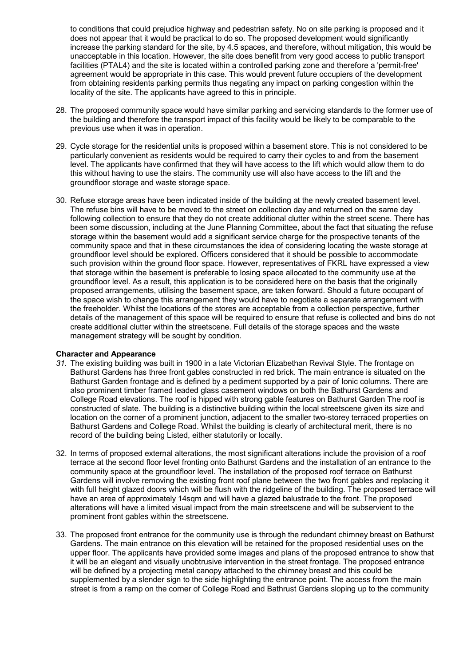to conditions that could prejudice highway and pedestrian safety. No on site parking is proposed and it does not appear that it would be practical to do so. The proposed development would significantly increase the parking standard for the site, by 4.5 spaces, and therefore, without mitigation, this would be unacceptable in this location. However, the site does benefit from very good access to public transport facilities (PTAL4) and the site is located within a controlled parking zone and therefore a 'permit-free' agreement would be appropriate in this case. This would prevent future occupiers of the development from obtaining residents parking permits thus negating any impact on parking congestion within the locality of the site. The applicants have agreed to this in principle.

- 28. The proposed community space would have similar parking and servicing standards to the former use of the building and therefore the transport impact of this facility would be likely to be comparable to the previous use when it was in operation.
- 29. Cycle storage for the residential units is proposed within a basement store. This is not considered to be particularly convenient as residents would be required to carry their cycles to and from the basement level. The applicants have confirmed that they will have access to the lift which would allow them to do this without having to use the stairs. The community use will also have access to the lift and the groundfloor storage and waste storage space.
- 30. Refuse storage areas have been indicated inside of the building at the newly created basement level. The refuse bins will have to be moved to the street on collection day and returned on the same day following collection to ensure that they do not create additional clutter within the street scene. There has been some discussion, including at the June Planning Committee, about the fact that situating the refuse storage within the basement would add a significant service charge for the prospective tenants of the community space and that in these circumstances the idea of considering locating the waste storage at groundfloor level should be explored. Officers considered that it should be possible to accommodate such provision within the ground floor space. However, representatives of FKRL have expressed a view that storage within the basement is preferable to losing space allocated to the community use at the groundfloor level. As a result, this application is to be considered here on the basis that the originally proposed arrangements, utilising the basement space, are taken forward. Should a future occupant of the space wish to change this arrangement they would have to negotiate a separate arrangement with the freeholder. Whilst the locations of the stores are acceptable from a collection perspective, further details of the management of this space will be required to ensure that refuse is collected and bins do not create additional clutter within the streetscene. Full details of the storage spaces and the waste management strategy will be sought by condition.

#### **Character and Appearance**

- *31.* The existing building was built in 1900 in a late Victorian Elizabethan Revival Style. The frontage on Bathurst Gardens has three front gables constructed in red brick. The main entrance is situated on the Bathurst Garden frontage and is defined by a pediment supported by a pair of Ionic columns. There are also prominent timber framed leaded glass casement windows on both the Bathurst Gardens and College Road elevations. The roof is hipped with strong gable features on Bathurst Garden The roof is constructed of slate. The building is a distinctive building within the local streetscene given its size and location on the corner of a prominent junction, adjacent to the smaller two-storey terraced properties on Bathurst Gardens and College Road. Whilst the building is clearly of architectural merit, there is no record of the building being Listed, either statutorily or locally.
- 32. In terms of proposed external alterations, the most significant alterations include the provision of a roof terrace at the second floor level fronting onto Bathurst Gardens and the installation of an entrance to the community space at the groundfloor level. The installation of the proposed roof terrace on Bathurst Gardens will involve removing the existing front roof plane between the two front gables and replacing it with full height glazed doors which will be flush with the ridgeline of the building. The proposed terrace will have an area of approximately 14sqm and will have a glazed balustrade to the front. The proposed alterations will have a limited visual impact from the main streetscene and will be subservient to the prominent front gables within the streetscene.
- 33. The proposed front entrance for the community use is through the redundant chimney breast on Bathurst Gardens. The main entrance on this elevation will be retained for the proposed residential uses on the upper floor. The applicants have provided some images and plans of the proposed entrance to show that it will be an elegant and visually unobtrusive intervention in the street frontage. The proposed entrance will be defined by a projecting metal canopy attached to the chimney breast and this could be supplemented by a slender sign to the side highlighting the entrance point. The access from the main street is from a ramp on the corner of College Road and Bathrust Gardens sloping up to the community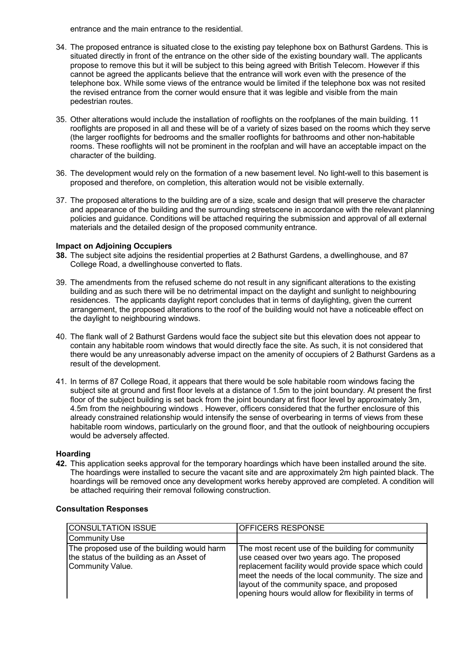entrance and the main entrance to the residential.

- 34. The proposed entrance is situated close to the existing pay telephone box on Bathurst Gardens. This is situated directly in front of the entrance on the other side of the existing boundary wall. The applicants propose to remove this but it will be subject to this being agreed with British Telecom. However if this cannot be agreed the applicants believe that the entrance will work even with the presence of the telephone box. While some views of the entrance would be limited if the telephone box was not resited the revised entrance from the corner would ensure that it was legible and visible from the main pedestrian routes.
- 35. Other alterations would include the installation of rooflights on the roofplanes of the main building. 11 rooflights are proposed in all and these will be of a variety of sizes based on the rooms which they serve (the larger rooflights for bedrooms and the smaller rooflights for bathrooms and other non-habitable rooms. These rooflights will not be prominent in the roofplan and will have an acceptable impact on the character of the building.
- 36. The development would rely on the formation of a new basement level. No light-well to this basement is proposed and therefore, on completion, this alteration would not be visible externally.
- 37. The proposed alterations to the building are of a size, scale and design that will preserve the character and appearance of the building and the surrounding streetscene in accordance with the relevant planning policies and guidance. Conditions will be attached requiring the submission and approval of all external materials and the detailed design of the proposed community entrance.

## **Impact on Adjoining Occupiers**

- **38.** The subject site adjoins the residential properties at 2 Bathurst Gardens, a dwellinghouse, and 87 College Road, a dwellinghouse converted to flats.
- 39. The amendments from the refused scheme do not result in any significant alterations to the existing building and as such there will be no detrimental impact on the daylight and sunlight to neighbouring residences. The applicants daylight report concludes that in terms of daylighting, given the current arrangement, the proposed alterations to the roof of the building would not have a noticeable effect on the daylight to neighbouring windows.
- 40. The flank wall of 2 Bathurst Gardens would face the subject site but this elevation does not appear to contain any habitable room windows that would directly face the site. As such, it is not considered that there would be any unreasonably adverse impact on the amenity of occupiers of 2 Bathurst Gardens as a result of the development.
- 41. In terms of 87 College Road, it appears that there would be sole habitable room windows facing the subject site at ground and first floor levels at a distance of 1.5m to the joint boundary. At present the first floor of the subject building is set back from the joint boundary at first floor level by approximately 3m, 4.5m from the neighbouring windows . However, officers considered that the further enclosure of this already constrained relationship would intensify the sense of overbearing in terms of views from these habitable room windows, particularly on the ground floor, and that the outlook of neighbouring occupiers would be adversely affected.

## **Hoarding**

**42.** This application seeks approval for the temporary hoardings which have been installed around the site. The hoardings were installed to secure the vacant site and are approximately 2m high painted black. The hoardings will be removed once any development works hereby approved are completed. A condition will be attached requiring their removal following construction.

| CONSULTATION ISSUE                                                                                           | <b>OFFICERS RESPONSE</b>                                                                                                                                                                                                                                                                                                |
|--------------------------------------------------------------------------------------------------------------|-------------------------------------------------------------------------------------------------------------------------------------------------------------------------------------------------------------------------------------------------------------------------------------------------------------------------|
| <b>Community Use</b>                                                                                         |                                                                                                                                                                                                                                                                                                                         |
| The proposed use of the building would harm<br>the status of the building as an Asset of<br>Community Value. | The most recent use of the building for community<br>use ceased over two years ago. The proposed<br>replacement facility would provide space which could<br>meet the needs of the local community. The size and<br>layout of the community space, and proposed<br>opening hours would allow for flexibility in terms of |

#### **Consultation Responses**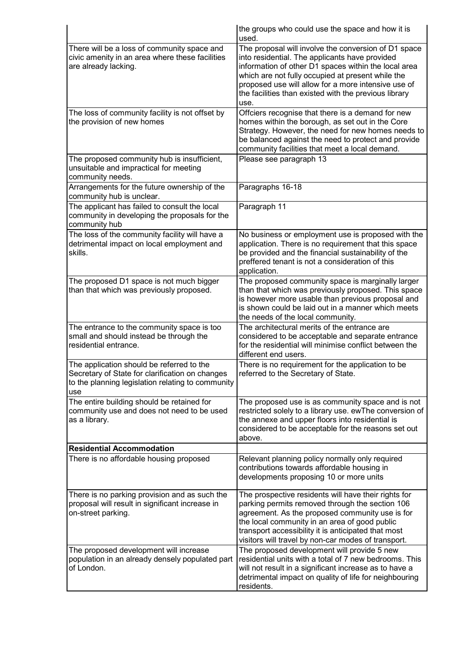|                                                                                                                                                          | the groups who could use the space and how it is<br>used.                                                                                                                                                                                                                                                                                   |
|----------------------------------------------------------------------------------------------------------------------------------------------------------|---------------------------------------------------------------------------------------------------------------------------------------------------------------------------------------------------------------------------------------------------------------------------------------------------------------------------------------------|
| There will be a loss of community space and<br>civic amenity in an area where these facilities<br>are already lacking.                                   | The proposal will involve the conversion of D1 space<br>into residential. The applicants have provided<br>information of other D1 spaces within the local area<br>which are not fully occupied at present while the<br>proposed use will allow for a more intensive use of<br>the facilities than existed with the previous library<br>use. |
| The loss of community facility is not offset by<br>the provision of new homes                                                                            | Offciers recognise that there is a demand for new<br>homes within the borough, as set out in the Core<br>Strategy. However, the need for new homes needs to<br>be balanced against the need to protect and provide<br>community facilities that meet a local demand.                                                                        |
| The proposed community hub is insufficient,<br>unsuitable and impractical for meeting<br>community needs.                                                | Please see paragraph 13                                                                                                                                                                                                                                                                                                                     |
| Arrangements for the future ownership of the<br>community hub is unclear.                                                                                | Paragraphs 16-18                                                                                                                                                                                                                                                                                                                            |
| The applicant has failed to consult the local<br>community in developing the proposals for the<br>community hub                                          | Paragraph 11                                                                                                                                                                                                                                                                                                                                |
| The loss of the community facility will have a<br>detrimental impact on local employment and<br>skills.                                                  | No business or employment use is proposed with the<br>application. There is no requirement that this space<br>be provided and the financial sustainability of the<br>preffered tenant is not a consideration of this<br>application.                                                                                                        |
| The proposed D1 space is not much bigger<br>than that which was previously proposed.                                                                     | The proposed community space is marginally larger<br>than that which was previously proposed. This space<br>is however more usable than previous proposal and<br>is shown could be laid out in a manner which meets<br>the needs of the local community.                                                                                    |
| The entrance to the community space is too<br>small and should instead be through the<br>residential entrance.                                           | The architectural merits of the entrance are<br>considered to be acceptable and separate entrance<br>for the residential will minimise conflict between the<br>different end users.                                                                                                                                                         |
| The application should be referred to the<br>Secretary of State for clarification on changes<br>to the planning legislation relating to community<br>use | There is no requirement for the application to be<br>referred to the Secretary of State.                                                                                                                                                                                                                                                    |
| The entire building should be retained for<br>community use and does not need to be used<br>as a library.                                                | The proposed use is as community space and is not<br>restricted solely to a library use. ewThe conversion of<br>the annexe and upper floors into residential is<br>considered to be acceptable for the reasons set out<br>above.                                                                                                            |
| <b>Residential Accommodation</b>                                                                                                                         |                                                                                                                                                                                                                                                                                                                                             |
| There is no affordable housing proposed                                                                                                                  | Relevant planning policy normally only required<br>contributions towards affordable housing in<br>developments proposing 10 or more units                                                                                                                                                                                                   |
| There is no parking provision and as such the<br>proposal will result in significant increase in<br>on-street parking.                                   | The prospective residents will have their rights for<br>parking permits removed through the section 106<br>agreement. As the proposed community use is for<br>the local community in an area of good public<br>transport accessibility it is anticipated that most<br>visitors will travel by non-car modes of transport.                   |
| The proposed development will increase<br>population in an already densely populated part<br>of London.                                                  | The proposed development will provide 5 new<br>residential units with a total of 7 new bedrooms. This<br>will not result in a significant increase as to have a<br>detrimental impact on quality of life for neighbouring<br>residents.                                                                                                     |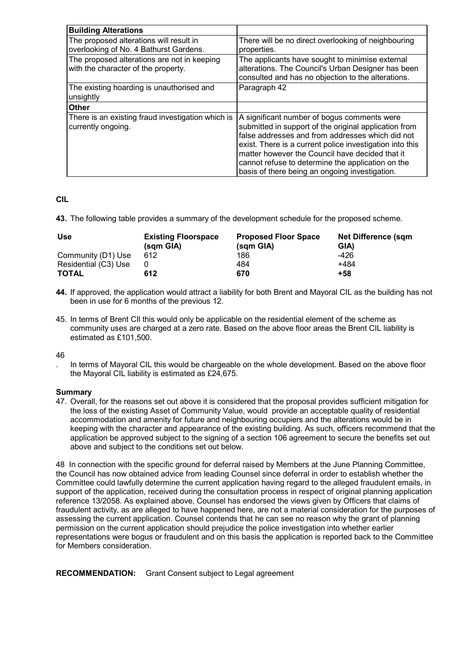| <b>Building Alterations</b>                                                        |                                                                                                                                                                                                                                                                                                                                                                                |
|------------------------------------------------------------------------------------|--------------------------------------------------------------------------------------------------------------------------------------------------------------------------------------------------------------------------------------------------------------------------------------------------------------------------------------------------------------------------------|
| The proposed alterations will result in<br>overlooking of No. 4 Bathurst Gardens.  | There will be no direct overlooking of neighbouring<br>properties.                                                                                                                                                                                                                                                                                                             |
| The proposed alterations are not in keeping<br>with the character of the property. | The applicants have sought to minimise external<br>alterations. The Council's Urban Designer has been<br>consulted and has no objection to the alterations.                                                                                                                                                                                                                    |
| The existing hoarding is unauthorised and<br>unsightly                             | Paragraph 42                                                                                                                                                                                                                                                                                                                                                                   |
| <b>Other</b>                                                                       |                                                                                                                                                                                                                                                                                                                                                                                |
| There is an existing fraud investigation which is<br>currently ongoing.            | A significant number of bogus comments were<br>submitted in support of the original application from<br>false addresses and from addresses which did not<br>exist. There is a current police investigation into this<br>matter however the Council have decided that it<br>cannot refuse to determine the application on the<br>basis of there being an ongoing investigation. |

## **CIL**

**43.** The following table provides a summary of the development schedule for the proposed scheme.

| <b>Use</b>           | <b>Existing Floorspace</b><br>(sqm GIA) | <b>Proposed Floor Space</b><br>(sqm GIA) | Net Difference (sqm<br>GIA) |
|----------------------|-----------------------------------------|------------------------------------------|-----------------------------|
| Community (D1) Use   | 612                                     | 186                                      | -426                        |
| Residential (C3) Use |                                         | 484                                      | +484                        |
| <b>TOTAL</b>         | 612                                     | 670                                      | $+58$                       |

- **44.** If approved, the application would attract a liability for both Brent and Mayoral CIL as the building has not been in use for 6 months of the previous 12.
- 45. In terms of Brent CIl this would only be applicable on the residential element of the scheme as community uses are charged at a zero rate. Based on the above floor areas the Brent CIL liability is estimated as £101,500.

46

. In terms of Mayoral CIL this would be chargeable on the whole development. Based on the above floor the Mayoral CIL liability is estimated as £24,675.

## **Summary**

47. Overall, for the reasons set out above it is considered that the proposal provides sufficient mitigation for the loss of the existing Asset of Community Value, would provide an acceptable quality of residential accommodation and amenity for future and neighbouring occupiers and the alterations would be in keeping with the character and appearance of the existing building. As such, officers recommend that the application be approved subject to the signing of a section 106 agreement to secure the benefits set out above and subject to the conditions set out below.

48 In connection with the specific ground for deferral raised by Members at the June Planning Committee, the Council has now obtained advice from leading Counsel since deferral in order to establish whether the Committee could lawfully determine the current application having regard to the alleged fraudulent emails, in support of the application, received during the consultation process in respect of original planning application reference 13/2058. As explained above, Counsel has endorsed the views given by Officers that claims of fraudulent activity, as are alleged to have happened here, are not a material consideration for the purposes of assessing the current application. Counsel contends that he can see no reason why the grant of planning permission on the current application should prejudice the police investigation into whether earlier representations were bogus or fraudulent and on this basis the application is reported back to the Committee for Members consideration.

**RECOMMENDATION:** Grant Consent subject to Legal agreement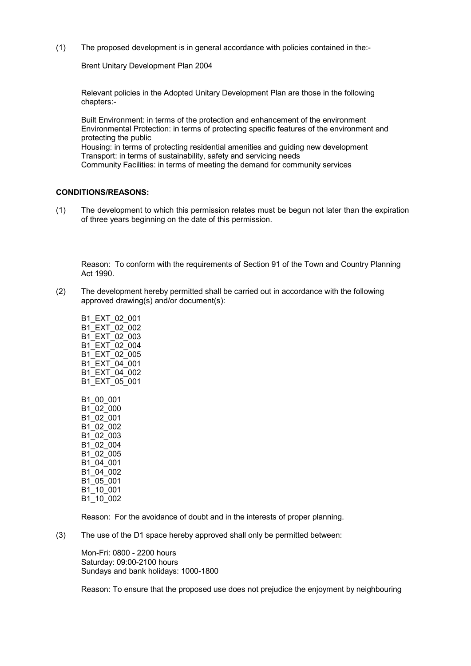(1) The proposed development is in general accordance with policies contained in the:-

Brent Unitary Development Plan 2004

Relevant policies in the Adopted Unitary Development Plan are those in the following chapters:-

Built Environment: in terms of the protection and enhancement of the environment Environmental Protection: in terms of protecting specific features of the environment and protecting the public Housing: in terms of protecting residential amenities and guiding new development Transport: in terms of sustainability, safety and servicing needs Community Facilities: in terms of meeting the demand for community services

## **CONDITIONS/REASONS:**

(1) The development to which this permission relates must be begun not later than the expiration of three years beginning on the date of this permission.

Reason: To conform with the requirements of Section 91 of the Town and Country Planning Act 1990.

(2) The development hereby permitted shall be carried out in accordance with the following approved drawing(s) and/or document(s):

B1\_EXT\_02\_001 B1\_EXT\_02\_002 B1\_EXT\_02\_003 B1\_EXT\_02\_004 B1\_EXT\_02\_005 B1\_EXT\_04\_001 B1\_EXT\_04\_002 B1\_EXT\_05\_001 B1\_00\_001 B1\_02\_000 B1\_02\_001 B1\_02\_002 B1\_02\_003 B1\_02\_004 B1\_02\_005 B1\_04\_001 B1\_04\_002 B1\_05\_001 B1\_10\_001 B1\_10\_002

Reason: For the avoidance of doubt and in the interests of proper planning.

(3) The use of the D1 space hereby approved shall only be permitted between:

Mon-Fri: 0800 - 2200 hours Saturday: 09:00-2100 hours Sundays and bank holidays: 1000-1800

Reason: To ensure that the proposed use does not prejudice the enjoyment by neighbouring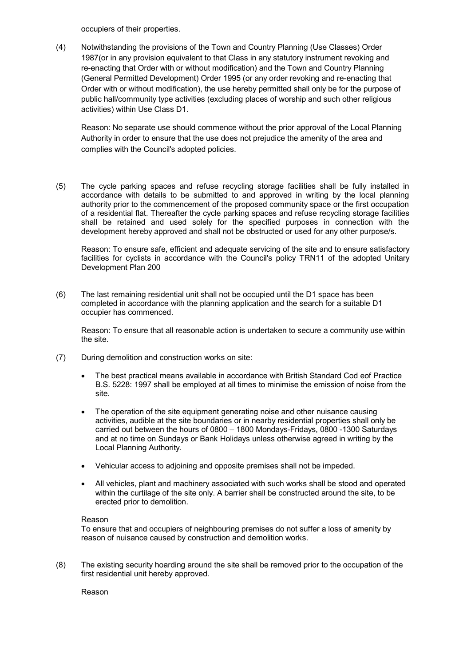occupiers of their properties.

(4) Notwithstanding the provisions of the Town and Country Planning (Use Classes) Order 1987(or in any provision equivalent to that Class in any statutory instrument revoking and re-enacting that Order with or without modification) and the Town and Country Planning (General Permitted Development) Order 1995 (or any order revoking and re-enacting that Order with or without modification), the use hereby permitted shall only be for the purpose of public hall/community type activities (excluding places of worship and such other religious activities) within Use Class D1.

Reason: No separate use should commence without the prior approval of the Local Planning Authority in order to ensure that the use does not prejudice the amenity of the area and complies with the Council's adopted policies.

(5) The cycle parking spaces and refuse recycling storage facilities shall be fully installed in accordance with details to be submitted to and approved in writing by the local planning authority prior to the commencement of the proposed community space or the first occupation of a residential flat. Thereafter the cycle parking spaces and refuse recycling storage facilities shall be retained and used solely for the specified purposes in connection with the development hereby approved and shall not be obstructed or used for any other purpose/s.

Reason: To ensure safe, efficient and adequate servicing of the site and to ensure satisfactory facilities for cyclists in accordance with the Council's policy TRN11 of the adopted Unitary Development Plan 200

(6) The last remaining residential unit shall not be occupied until the D1 space has been completed in accordance with the planning application and the search for a suitable D1 occupier has commenced.

Reason: To ensure that all reasonable action is undertaken to secure a community use within the site.

- (7) During demolition and construction works on site:
	- · The best practical means available in accordance with British Standard Cod eof Practice B.S. 5228: 1997 shall be employed at all times to minimise the emission of noise from the site.
	- The operation of the site equipment generating noise and other nuisance causing activities, audible at the site boundaries or in nearby residential properties shall only be carried out between the hours of 0800 – 1800 Mondays-Fridays, 0800 -1300 Saturdays and at no time on Sundays or Bank Holidays unless otherwise agreed in writing by the Local Planning Authority.
	- · Vehicular access to adjoining and opposite premises shall not be impeded.
	- · All vehicles, plant and machinery associated with such works shall be stood and operated within the curtilage of the site only. A barrier shall be constructed around the site, to be erected prior to demolition.

#### Reason

To ensure that and occupiers of neighbouring premises do not suffer a loss of amenity by reason of nuisance caused by construction and demolition works.

(8) The existing security hoarding around the site shall be removed prior to the occupation of the first residential unit hereby approved.

Reason